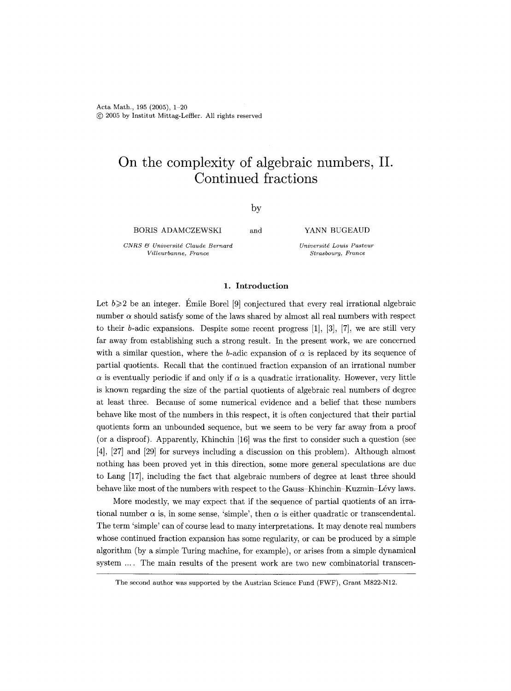Acta Math., 195 (2005), 1-20 (~) 2005 by Institut Mittag-Leffter. All rights reserved

# **On the complexity of algebraic numbers, II. Continued fractions**

by

BORIS ADAMCZEWSKI

 $CNRS$  & Université Claude Bernard *Villeurbanne, Prance* 

and YANN BUGEAUD

*Universitd Louis Pasteur Strasbourg, France* 

## **1.** Introduction

Let  $b \geqslant 2$  be an integer. Emile Borel [9] conjectured that every real irrational algebraic number  $\alpha$  should satisfy some of the laws shared by almost all real numbers with respect to their b-adic expansions. Despite some recent progress  $[1]$ ,  $[3]$ ,  $[7]$ , we are still very far away from establishing such a strong result. In the present work, we are concerned with a similar question, where the b-adic expansion of  $\alpha$  is replaced by its sequence of partial quotients. Recall that the continued fraction expansion of an irrational number  $\alpha$  is eventually periodic if and only if  $\alpha$  is a quadratic irrationality. However, very little is known regarding the size of the partial quotients of algebraic real numbers of degree at least three. Because of some numerical evidence and a belief that these numbers behave like most of the numbers in this respect, it is often conjectured that their partial quotients form an unbounded sequence, but we seem to be very far away from a proof (or a disproof). Apparently, Khinchin [16] was the first to consider such a question (see [4], [27] and [29] for surveys including a discussion on this problem). Although almost nothing has been proved yet in this direction, some more general speculations are due to Lang [17], including the fact that algebraic numbers of degree at least three should behave like most of the numbers with respect to the Gauss-Khinchin-Kuzmin-Lévy laws.

More modestly, we may expect that if the sequence of partial quotients of an irrational number  $\alpha$  is, in some sense, 'simple', then  $\alpha$  is either quadratic or transcendental. The term 'simple' can of course lead to many interpretations. It may denote real numbers whose continued fraction expansion has some regularity, or can be produced by a simple algorithm (by a simple Turing machine, for example), or arises from a simple dynamical system .... The main results of the present work are two new combinatorial transcen-

The second author was supported by the Austrian Science Fund (FWF), Grant M822-N12.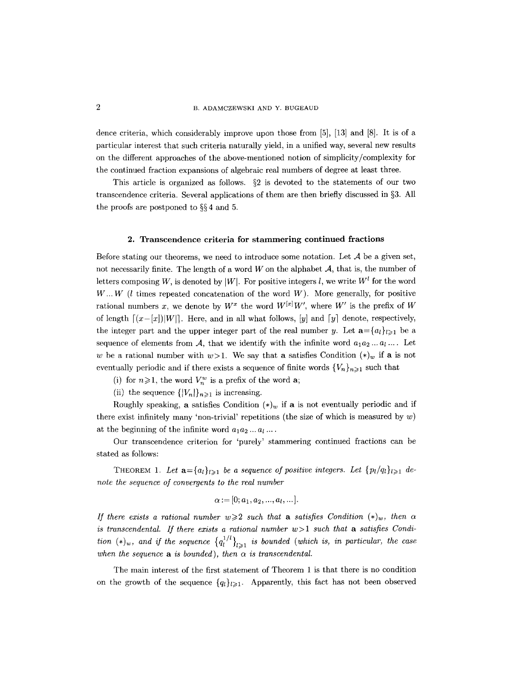B. ADAMCZEWSKI AND Y. BUGEAUD

dence criteria, which considerably improve upon those from [5], [13] and [8]. It is of a particular interest that such criteria naturally yield, in a unified way, several new results on the different approaches of the above-mentioned notion of simplicity/complexity for the continued fraction expansions of algebraic real numbers of degree at least three.

This article is organized as follows.  $\S2$  is devoted to the statements of our two transcendence criteria. Several applications of them are then briefly discussed in  $\S 3$ . All the proofs are postponed to  $\S 4$  and 5.

#### 2. Transcendence **criteria for** stammering continued **fractions**

Before stating our theorems, we need to introduce some notation. Let  $A$  be a given set, not necessarily finite. The length of a word  $W$  on the alphabet  $A$ , that is, the number of letters composing W, is denoted by |W|. For positive integers l, we write  $W^l$  for the word  $W...W$  (*l* times repeated concatenation of the word  $W$ ). More generally, for positive rational numbers x, we denote by  $W^x$  the word  $W^{[x]}W'$ , where W' is the prefix of W of length  $[(x-[x])|W|]$ . Here, and in all what follows,  $[y]$  and  $[y]$  denote, respectively, the integer part and the upper integer part of the real number y. Let  $\mathbf{a} = \{a_l\}_{l\geqslant1}$  be a sequence of elements from  $A$ , that we identify with the infinite word  $a_1a_2...a_l...$  Let w be a rational number with  $w>1$ . We say that a satisfies Condition  $(*)_w$  if a is not eventually periodic and if there exists a sequence of finite words  $\{V_n\}_{n\geq 1}$  such that

(i) for  $n \ge 1$ , the word  $V_n^w$  is a prefix of the word **a**;

(ii) the sequence  $\{|V_n|\}_{n\geq 1}$  is increasing.

Roughly speaking, a satisfies Condition  $(*)_w$  if a is not eventually periodic and if there exist infinitely many 'non-trivial' repetitions (the size of which is measured by  $w$ ) at the beginning of the infinite word  $a_1 a_2 \ldots a_l \ldots$ 

Our transcendence criterion for 'purely' stammering continued fractions can be stated as follows:

THEOREM 1. Let  $\mathbf{a} = \{a_l\}_{l \geq 1}$  be a sequence of positive integers. Let  $\{p_l/q_l\}_{l \geq 1}$  de*note the sequence of convergents to the real number* 

$$
\alpha := [0; a_1, a_2, ..., a_l, ...].
$$

*If there exists a rational number*  $w \geq 2$  *such that a satisfies Condition*  $(*)_w$ , *then*  $\alpha$ is transcendental. If there exists a rational number  $w>1$  such that a satisfies Condi*tion*  $(\ast)_{w}$ , and if the sequence  $\{q_l^{1/l}\}_{l\geq 1}$  is bounded (which is, in particular, the case when the sequence  $\bf{a}$  is bounded), then  $\alpha$  is transcendental.

The main interest of the first statement of Theorem 1 is that there is no condition on the growth of the sequence  ${q_l}_{l\geqslant}$ . Apparently, this fact has not been observed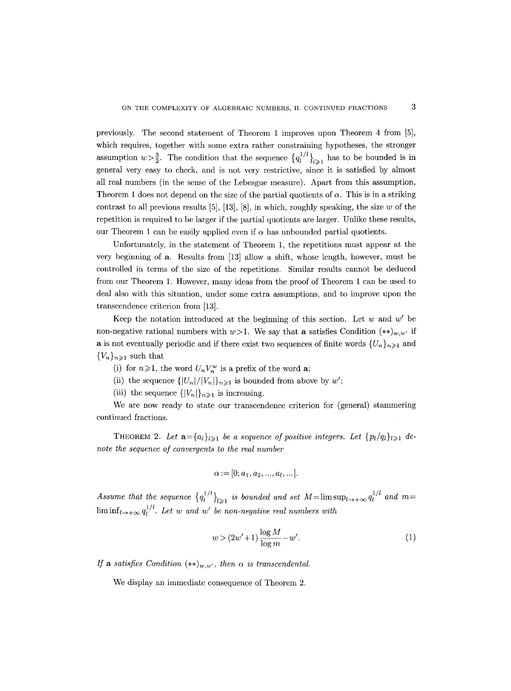previously. The second statement of Theorem 1 improves upon Theorem 4 from [5], which requires, together with some extra rather constraining hypotheses, the stronger assumption  $w > \frac{3}{2}$ . The condition that the sequence  $\{q_l^{1/l}\}_{l \geq 1}$  has to be bounded is in general very easy to check, and is not very restrictive, since it is satisfied by almost all real numbers (in the sense of the Lebesgue measure). Apart from this assumption, Theorem 1 does not depend on the size of the partial quotients of  $\alpha$ . This is in a striking contrast to all previous results  $[5]$ ,  $[13]$ ,  $[8]$ , in which, roughly speaking, the size w of the repetition is required to be larger if the partial quotients are larger. Unlike these results, our Theorem 1 can be easily applied even if  $\alpha$  has unbounded partial quotients.

Unfortunately, in the statement of Theorem 1, the repetitions must appear at the very beginning of a. Results from [13] allow a shift, whose length, however, must be controlled in terms of the size of the repetitions. Similar results cannot be deduced from our Theorem 1. However, many ideas from the proof of Theorem 1 can be used to deal also with this situation, under some extra assumptions, and to improve upon the transcendence criterion from [13].

Keep the notation introduced at the beginning of this section. Let w and  $w'$  be non-negative rational numbers with  $w>1$ . We say that a satisfies Condition  $(**)_{w,w'}$  if **a** is not eventually periodic and if there exist two sequences of finite words  $\{U_n\}_{n\geq 1}$  and  ${V_n}_{n\geqslant 1}$  such that

- (i) for  $n \ge 1$ , the word  $U_n V_n^w$  is a prefix of the word a;
- (ii) the sequence  $\{|U_n|/|V_n|\}_{n\geq 1}$  is bounded from above by w';
- (iii) the sequence  $\{|V_n|\}_{n\geq 1}$  is increasing.

We are now ready to state our transcendence criterion for (general) stammering continued fractions.

THEOREM 2. Let  $\mathbf{a} = \{a_l\}_{l \geq 1}$  be a sequence of positive integers. Let  $\{p_l/q_l\}_{l \geq 1}$  de*note the sequence of convergents to the real number* 

$$
\alpha := [0; a_1, a_2, ..., a_l, ...].
$$

Assume that the sequence  ${q_i^{1/l}}_{l\geqslant1}$  is bounded and set  $M=\limsup_{l\to+\infty} q_l^{1/l}$  and  $m=$  $\liminf_{l\to+\infty} q_l^{1/l}$ . Let w and w' be non-negative real numbers with

$$
w > (2w' + 1)\frac{\log M}{\log m} - w'.\tag{1}
$$

*If* a satisfies Condition  $(**)_{w,w'}$ , then  $\alpha$  is transcendental.

We display an immediate consequence of Theorem 2.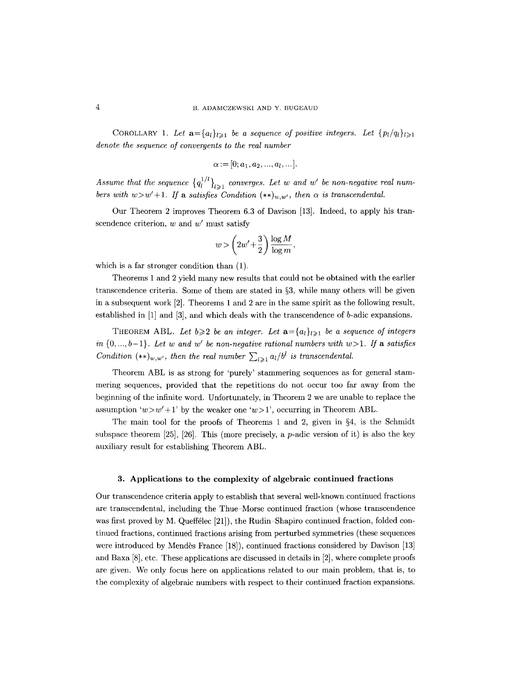COROLLARY 1. Let  $\mathbf{a} = \{a_l\}_{l \geq 1}$  be a sequence of positive integers. Let  $\{p_l/q_l\}_{l \geq 1}$ *denote the sequence of convergents to the real number* 

$$
\alpha := [0; a_1, a_2, ..., a_l, ...].
$$

*Assume that the sequence*  ${q_l^{1/l}}_{l \geq 1}$  converges. Let w and w' be non-negative real num*bers with*  $w>w'+1$ . *If a satisfies Condition*  $(**)_{w,w'}$ , *then*  $\alpha$  *is transcendental.* 

Our Theorem 2 improves Theorem 6.3 of Davison [13]. Indeed, to apply his transcendence criterion,  $w$  and  $w'$  must satisfy

$$
w>\left(2w'+\frac{3}{2}\right)\frac{\log M}{\log m},
$$

which is a far stronger condition than (1).

Theorems 1 and 2 yield many new results that could not be obtained with the earlier transcendence criteria. Some of them are stated in  $\S$ 3, while many others will be given in a subsequent work [2]. Theorems 1 and 2 are in the same spirit as the following result, established in  $[1]$  and  $[3]$ , and which deals with the transcendence of b-adic expansions.

THEOREM ABL. Let  $b \geq 2$  be an integer. Let  $\mathbf{a} = \{a_l\}_{l \geq 1}$  be a sequence of integers *in*  $\{0, ..., b-1\}$ *. Let w and w' be non-negative rational numbers with w>1. If a satisfies Condition*  $(**)_{w,w'}$ , then the real number  $\sum_{l\geq 1} a_l / b^l$  is transcendental.

Theorem ABL is as strong for 'purely' stammering sequences as for general stammeting sequences, provided that the repetitions do not occur too far away from the beginning of the infinite word. Unfortunately, in Theorem 2 we are unable to replace the assumption 'w >  $w' + 1$ ' by the weaker one 'w > 1', occurring in Theorem ABL.

The main tool for the proofs of Theorems 1 and 2, given in  $\S 4$ , is the Schmidt subspace theorem  $[25]$ ,  $[26]$ . This (more precisely, a p-adic version of it) is also the key auxiliary result for establishing Theorem ABL.

#### 3. Applications **to the** complexity of algebraic continued fractions

Our transcendence criteria apply to establish that several well-known continued fractions are transcendental, including the Thue-Morse continued fraction (whose transcendence was first proved by M. Queffélec [21]), the Rudin-Shapiro continued fraction, folded continued fractions, continued fractions arising from perturbed symmetries (these sequences were introduced by Mendès France [18]), continued fractions considered by Davison [13] and Baxa [8], etc. These applications are discussed in details in [2], where complete proofs are given. We only focus here on applications related to our main problem, that is, to the complexity of algebraic numbers with respect to their continued fraction expansions.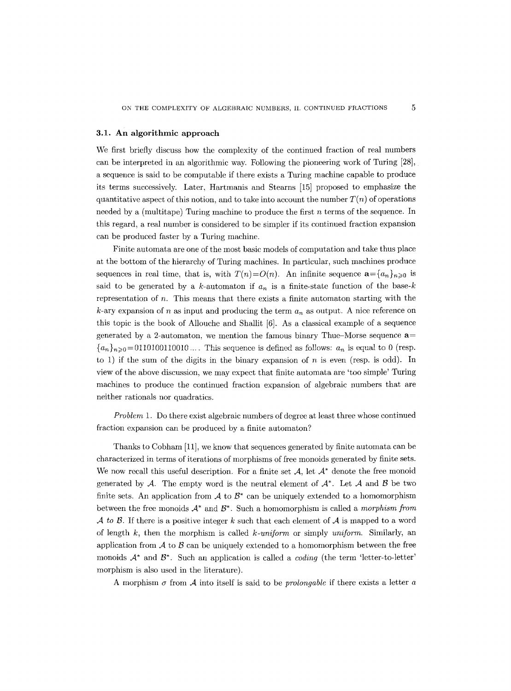#### 3.1. An algorithmic approach

We first briefly discuss how the complexity of the continued fraction of real numbers can be interpreted in an algorithmic way. Following the pioneering work of Turing [28], a sequence is said to be computable if there exists a Turing machine capable to produce its terms successively. Later, Hartmanis and Stearns [15] proposed to emphasize the quantitative aspect of this notion, and to take into account the number  $T(n)$  of operations needed by a (multitape) Turing machine to produce the first  $n$  terms of the sequence. In this regard, a real number is considered to be simpler if its continued fraction expansion can be produced faster by a Turing machine.

Finite automata are one of the most basic models of computation and take thus place at the bottom of the hierarchy of Turing machines. In particular, such machines produce sequences in real time, that is, with  $T(n)=O(n)$ . An infinite sequence  $\mathbf{a}=\{a_n\}_{n\geqslant 0}$  is said to be generated by a k-automaton if  $a_n$  is a finite-state function of the base-k representation of n. This means that there exists a finite automaton starting with the k-ary expansion of n as input and producing the term  $a_n$  as output. A nice reference on this topic is the book of Allouche and Shallit [6]. As a classical example of a sequence generated by a 2-automaton, we mention the famous binary Thue-Morse sequence  $a=$  ${a_n}_{n\geqslant0}=0110100110010...$  This sequence is defined as follows:  $a_n$  is equal to 0 (resp. to 1) if the sum of the digits in the binary expansion of  $n$  is even (resp. is odd). In view of the above discussion, we may expect that finite automata are 'too simple' Turing machines to produce the continued fraction expansion of algebraic numbers that are neither rationals nor quadratics.

*Problem* 1. Do there exist algebraic numbers of degree at least three whose continued fraction expansion can be produced by a finite automaton?

Thanks to Cobham [11], we know that sequences generated by finite automata can be characterized in terms of iterations of morphisms of free monoids generated by finite sets. We now recall this useful description. For a finite set  $A$ , let  $A^*$  denote the free monoid generated by A. The empty word is the neutral element of  $A^*$ . Let A and B be two finite sets. An application from  $A$  to  $\mathcal{B}^*$  can be uniquely extended to a homomorphism between the free monoids  $A^*$  and  $B^*$ . Such a homomorphism is called a *morphism from A to B.* If there is a positive integer k such that each element of  $A$  is mapped to a word of length k, then the morphism is called *k-uniform* or simply *uniform.* Similarly, an application from  $A$  to  $B$  can be uniquely extended to a homomorphism between the free monoids  $A^*$  and  $B^*$ . Such an application is called a *coding* (the term 'letter-to-letter' morphism is also used in the literature).

A morphism  $\sigma$  from  $\mathcal A$  into itself is said to be *prolongable* if there exists a letter a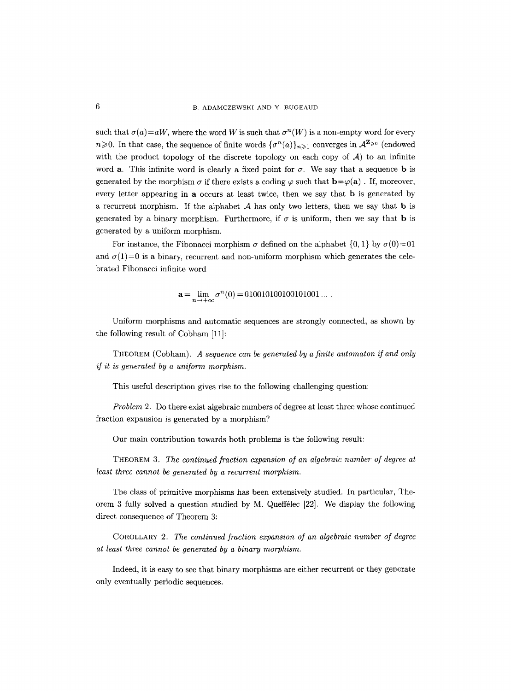such that  $\sigma(a) = aW$ , where the word W is such that  $\sigma^n(W)$  is a non-empty word for every  $n\geqslant 0$ . In that case, the sequence of finite words  $\{\sigma^n(a)\}_{n\geqslant 1}$  converges in  $\mathcal{A}^{\mathbf{Z}_{\geqslant 0}}$  (endowed with the product topology of the discrete topology on each copy of  $A$ ) to an infinite word a. This infinite word is clearly a fixed point for  $\sigma$ . We say that a sequence **b** is generated by the morphism  $\sigma$  if there exists a coding  $\varphi$  such that  $\mathbf{b}=\varphi(\mathbf{a})$ . If, moreover, every letter appearing in a occurs at least twice, then we say that b is generated by a recurrent morphism. If the alphabet  $A$  has only two letters, then we say that **b** is generated by a binary morphism. Furthermore, if  $\sigma$  is uniform, then we say that **b** is generated by a uniform morphism.

For instance, the Fibonacci morphism  $\sigma$  defined on the alphabet  $\{0, 1\}$  by  $\sigma(0)=01$ and  $\sigma(1)=0$  is a binary, recurrent and non-uniform morphism which generates the celebrated Fibonacci infinite word

$$
\mathbf{a} = \lim_{n \to +\infty} \sigma^n(0) = 0100101001001001 \dots
$$

Uniform morphisms and automatic sequences are strongly connected, as shown by the following result of Cobham [11]:

THEOREM (Cobham). *A sequence can be generated by a finite automaton if and only if it is generated by a uniform morphism.* 

This useful description gives rise to the following challenging question:

*Problem 2.* Do there exist algebraic numbers of degree at least three whose continued fraction expansion is generated by a morphism?

Our main contribution towards both problems is the following result:

THEOREM 3. *The continued fraction expansion of an algebraic number of degree at least three cannot be generated by a recurrent morphism.* 

The class of primitive morphisms has been extensively studied. In particular, Theorem 3 fully solved a question studied by M. Queffelec  $[22]$ . We display the following direct consequence of Theorem 3:

COROLLARY 2. *The continued fraction expansion of an algebraic number of degree at least three cannot be generated by a binary morphism.* 

Indeed, it is easy to see that binary morphisms are either recurrent or they generate only eventually periodic sequences.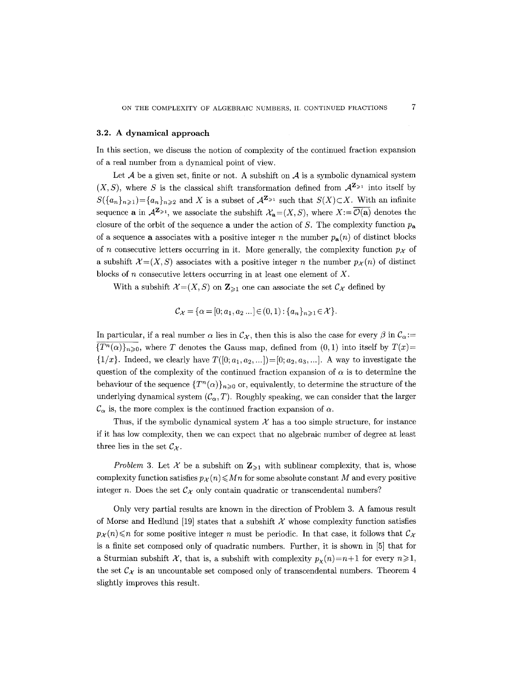#### 3.2. A dynamical approach

In this section, we discuss the notion of complexity of the continued fraction expansion of a real number from a dynamical point of view.

Let  $A$  be a given set, finite or not. A subshift on  $A$  is a symbolic dynamical system  $(X, S)$ , where S is the classical shift transformation defined from  $\mathcal{A}^{\mathbf{Z}_{\geqslant 1}}$  into itself by  $S({a_n}_{n\geq 1}) = {a_n}_{n\geq 2}$  and X is a subset of  $\mathcal{A}^{\mathbf{Z}_{\geq 1}}$  such that  $S(X) \subset X$ . With an infinite sequence **a** in  $\mathcal{A}^{\mathbf{Z}_{\geq 1}}$ , we associate the subshift  $\mathcal{X}_{\mathbf{a}}=(X, S)$ , where  $X:=\overline{\mathcal{O}(\mathbf{a})}$  denotes the closure of the orbit of the sequence a under the action of S. The complexity function  $p_a$ of a sequence **a** associates with a positive integer n the number  $p_a(n)$  of distinct blocks of n consecutive letters occurring in it. More generally, the complexity function  $p_{\mathcal{X}}$  of a subshift  $\mathcal{X} = (X, S)$  associates with a positive integer n the number  $p_{\mathcal{X}}(n)$  of distinct blocks of n consecutive letters occurring in at least one element of  $X$ .

With a subshift  $\mathcal{X}=(X, S)$  on  $\mathbb{Z}_{\geq 1}$  one can associate the set  $\mathcal{C}_{\mathcal{X}}$  defined by

$$
\mathcal{C}_{\mathcal{X}} = \{ \alpha = [0; a_1, a_2 \dots] \in (0, 1) : \{a_n\}_{n \geq 1} \in \mathcal{X} \}.
$$

In particular, if a real number  $\alpha$  lies in  $\mathcal{C}_{\mathcal{X}}$ , then this is also the case for every  $\beta$  in  $\mathcal{C}_{\alpha}:=$  ${T^n(\alpha)}_n\}_{n\geq 0}$ , where T denotes the Gauss map, defined from  $(0, 1)$  into itself by  $T(x)$ =  $\{1/x\}$ . Indeed, we clearly have  $T([0; a_1, a_2, ...)$  =  $[0; a_2, a_3, ...]$ . A way to investigate the question of the complexity of the continued fraction expansion of  $\alpha$  is to determine the behaviour of the sequence  ${T^n(\alpha)}_{n\geq 0}$  or, equivalently, to determine the structure of the underlying dynamical system  $(C_{\alpha}, T)$ . Roughly speaking, we can consider that the larger  $\mathcal{C}_{\alpha}$  is, the more complex is the continued fraction expansion of  $\alpha$ .

Thus, if the symbolic dynamical system  $X$  has a too simple structure, for instance if it has low complexity, then we can expect that no algebraic number of degree at least three lies in the set  $\mathcal{C}_{\mathcal{X}}$ .

*Problem 3.* Let X be a subshift on  $\mathbb{Z}_{\geq 1}$  with sublinear complexity, that is, whose complexity function satisfies  $p_{\mathcal{X}}(n) \leqslant Mn$  for some absolute constant M and every positive integer n. Does the set  $\mathcal{C}_{\chi}$  only contain quadratic or transcendental numbers?

Only very partial results are known in the direction of Problem 3. A famous result of Morse and Hedlund [19] states that a subshift  $\mathcal X$  whose complexity function satisfies  $p_{\mathcal{X}}(n) \leq n$  for some positive integer n must be periodic. In that case, it follows that  $\mathcal{C}_{\mathcal{X}}$ is a finite set composed only of quadratic numbers. Further, it is shown in  $[5]$  that for a Sturmian subshift X, that is, a subshift with complexity  $p_{\chi}(n)=n+1$  for every  $n\geqslant 1$ , the set  $\mathcal{C}_{\mathcal{X}}$  is an uncountable set composed only of transcendental numbers. Theorem 4 slightly improves this result.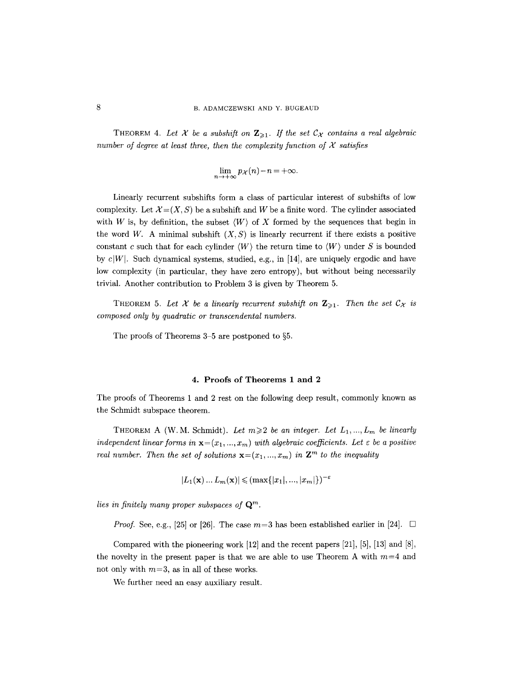THEOREM 4. Let X be a subshift on  $\mathbb{Z}_{\geq 1}$ . If the set  $\mathcal{C}_{\mathcal{X}}$  contains a real algebraic *number of degree at least three, then the complexity function of*  $X$  *satisfies* 

$$
\lim_{n \to +\infty} p_{\mathcal{X}}(n) - n = +\infty.
$$

Linearly recurrent subshiffs form a class of particular interest of subshifts of low complexity. Let  $\mathcal{X} = (X, S)$  be a subshift and W be a finite word. The cylinder associated with W is, by definition, the subset  $\langle W \rangle$  of X formed by the sequences that begin in the word W. A minimal subshift  $(X, S)$  is linearly recurrent if there exists a positive constant c such that for each cylinder  $\langle W \rangle$  the return time to  $\langle W \rangle$  under S is bounded by  $c|W|$ . Such dynamical systems, studied, e.g., in [14], are uniquely ergodic and have low complexity (in particular, they have zero entropy), but without being necessarily trivial. Another contribution to Problem 3 is given by Theorem 5.

THEOREM 5. Let X be a linearly recurrent subshift on  $\mathbb{Z}_{\geq 1}$ . Then the set  $\mathcal{C}_{\mathcal{X}}$  is *composed only by quadratic or transcendental numbers.* 

The proofs of Theorems  $3-5$  are postponed to  $\S5$ .

#### 4. Proofs of Theorems 1 and 2

The proofs of Theorems 1 and 2 rest on the following deep result, commonly known as the Schmidt subspace theorem.

THEOREM A (W.M. Schmidt). Let  $m \geq 2$  be an integer. Let  $L_1, ..., L_m$  be linearly *independent linear forms in*  $\mathbf{x} = (x_1, ..., x_m)$  with algebraic coefficients. Let  $\varepsilon$  be a positive *real number. Then the set of solutions*  $\mathbf{x} = (x_1, ..., x_m)$  *in*  $\mathbf{Z}^m$  *to the inequality* 

$$
|L_1(\mathbf{x})\dots L_m(\mathbf{x})| \leqslant (\max\{|x_1|, ..., |x_m|\})^{-\varepsilon}
$$

*lies in finitely many proper subspaces of Qm.* 

*Proof.* See, e.g., [25] or [26]. The case  $m=3$  has been established earlier in [24].  $\Box$ 

Compared with the pioneering work [12] and the recent papers [21], [5], [13] and [8], the novelty in the present paper is that we are able to use Theorem A with  $m=4$  and not only with *m=3, as* in all of these works.

We further need an easy auxiliary result.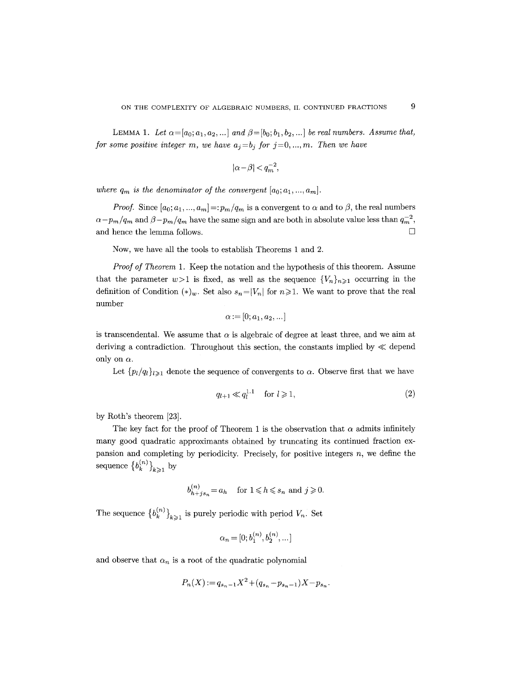LEMMA 1. Let  $\alpha = [a_0; a_1, a_2, \ldots]$  and  $\beta = [b_0; b_1, b_2, \ldots]$  be real numbers. Assume that, *for some positive integer m, we have*  $a_j = b_j$  *for*  $j = 0, ..., m$ *. Then we have* 

$$
|\alpha-\beta|
$$

where  $q_m$  is the denominator of the convergent  $[a_0; a_1, ..., a_m]$ .

*Proof.* Since  $[a_0; a_1, ..., a_m] =: p_m/q_m$  is a convergent to  $\alpha$  and to  $\beta$ , the real numbers  $\alpha-p_m/q_m$  and  $\beta-p_m/q_m$  have the same sign and are both in absolute value less than  $q_m^{-2}$ , and hence the lemma follows.  $\Box$ 

Now, we have all the tools to establish Theorems 1 and 2.

*Proof of Theorem* 1. Keep the notation and the hypothesis of this theorem. Assume that the parameter  $w>1$  is fixed, as well as the sequence  $\{V_n\}_{n\geq 1}$  occurring in the definition of Condition  $(*)_w$ . Set also  $s_n=|V_n|$  for  $n\geqslant 1$ . We want to prove that the real number

$$
\alpha:=[0;a_1,a_2,\ldots]
$$

is transcendental. We assume that  $\alpha$  is algebraic of degree at least three, and we aim at deriving a contradiction. Throughout this section, the constants implied by  $\ll$  depend only on  $\alpha$ .

Let  $\{p_l/q_l\}_{l\geq 1}$  denote the sequence of convergents to  $\alpha$ . Observe first that we have

$$
q_{l+1} \ll q_l^{1.1} \quad \text{for } l \geqslant 1,\tag{2}
$$

by Roth's theorem [23].

The key fact for the proof of Theorem 1 is the observation that  $\alpha$  admits infinitely many good quadratic approximants obtained by truncating its continued fraction expansion and completing by periodicity. Precisely, for positive integers  $n$ , we define the sequence  ${b_k^{(n)}\}_{k\geq 1}$  by

$$
b_{h+js_n}^{(n)} = a_h
$$
 for  $1 \le h \le s_n$  and  $j \ge 0$ .

The sequence  $\{b_k^{(n)}\}_{k\geqslant 1}$  is purely periodic with period  $V_n$ . Set

$$
\alpha_n = [0; b_1^{(n)}, b_2^{(n)}, \dots]
$$

and observe that  $\alpha_n$  is a root of the quadratic polynomial

$$
P_n(X) := q_{s_n-1}X^2 + (q_{s_n} - p_{s_n-1})X - p_{s_n}.
$$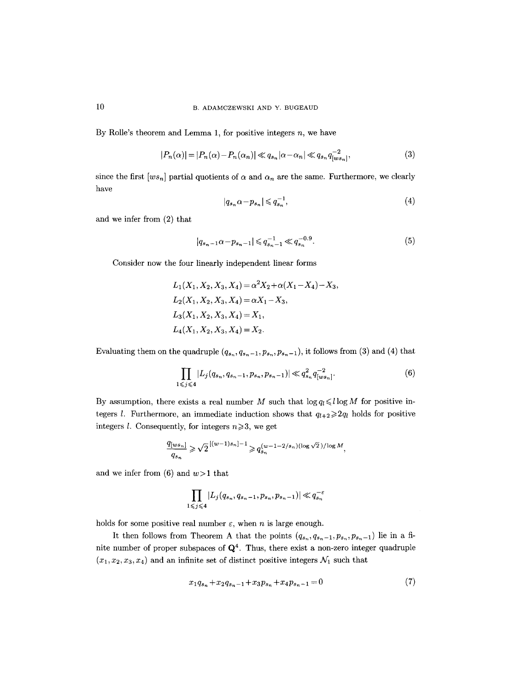# 10 B. ADAMCZEWSKI AND Y. BUGEAUD

By Rolle's theorem and Lemma 1, for positive integers  $n$ , we have

$$
|P_n(\alpha)| = |P_n(\alpha) - P_n(\alpha_n)| \ll q_{s_n} |\alpha - \alpha_n| \ll q_{s_n} q_{[ws_n]}^{-2},
$$
\n(3)

since the first  $[w_s_n]$  partial quotients of  $\alpha$  and  $\alpha_n$  are the same. Furthermore, we clearly have

$$
|q_{s_n}\alpha - p_{s_n}| \leqslant q_{s_n}^{-1},\tag{4}
$$

and we infer from (2) that

$$
|q_{s_n-1}\alpha-p_{s_n-1}|\leqslant q_{s_n-1}^{-1}\ll q_{s_n}^{-0.9}.\tag{5}
$$

Consider now the four linearly independent linear forms

$$
L_1(X_1, X_2, X_3, X_4) = \alpha^2 X_2 + \alpha (X_1 - X_4) - X_3,
$$
  
\n
$$
L_2(X_1, X_2, X_3, X_4) = \alpha X_1 - X_3,
$$
  
\n
$$
L_3(X_1, X_2, X_3, X_4) = X_1,
$$
  
\n
$$
L_4(X_1, X_2, X_3, X_4) = X_2.
$$

Evaluating them on the quadruple  $(q_{s_n}, q_{s_n-1}, p_{s_n}, p_{s_n-1})$ , it follows from (3) and (4) that

$$
\prod_{1 \leq j \leq 4} |L_j(q_{s_n}, q_{s_n-1}, p_{s_n}, p_{s_n-1})| \ll q_{s_n}^2 q_{[ws_n]}^{-2}.
$$
 (6)

By assumption, there exists a real number M such that  $\log q_l \leq l \log M$  for positive integers *l*. Furthermore, an immediate induction shows that  $q_{t+2}\geq 2q_l$  holds for positive integers *l*. Consequently, for integers  $n \ge 3$ , we get

$$
\frac{q_{[ws_n]}}{q_{s_n}} \geqslant \sqrt{2}^{\left[ (w-1)s_n \right]-1} \geqslant q_{s_n}^{(w-1-2/s_n)(\log \sqrt{2})/\log M},
$$

and we infer from (6) and  $w > 1$  that

$$
\prod_{1\leqslant j\leqslant 4}\left|L_j(q_{s_n},q_{s_n-1},p_{s_n},p_{s_n-1})\right|\ll q_{s_n}^{-\varepsilon}
$$

holds for some positive real number  $\varepsilon$ , when n is large enough.

It then follows from Theorem A that the points  $(q_{s_n},q_{s_n-1},p_{s_n},p_{s_n-1})$  lie in a finite number of proper subspaces of  $\mathbf{Q}^4$ . Thus, there exist a non-zero integer quadruple  $(x_1, x_2, x_3, x_4)$  and an infinite set of distinct positive integers  $\mathcal{N}_1$  such that

$$
x_1 q_{s_n} + x_2 q_{s_n-1} + x_3 p_{s_n} + x_4 p_{s_n-1} = 0 \tag{7}
$$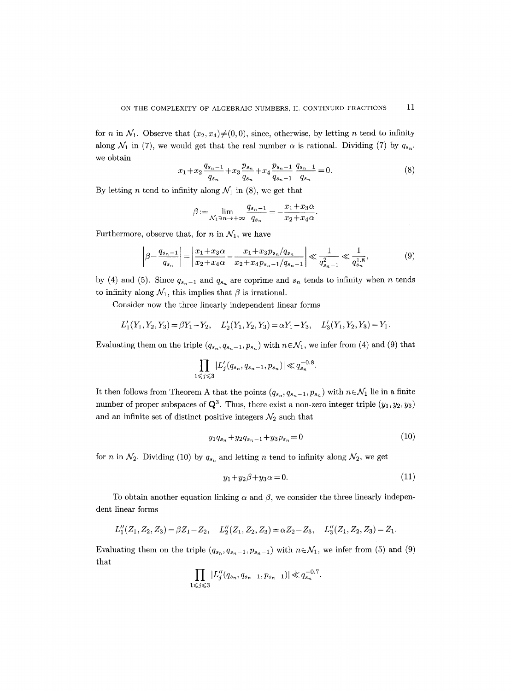for n in  $\mathcal{N}_1$ . Observe that  $(x_2, x_4) \neq (0, 0)$ , since, otherwise, by letting n tend to infinity along  $\mathcal{N}_1$  in (7), we would get that the real number  $\alpha$  is rational. Dividing (7) by  $q_{s_n}$ , we obtain

$$
x_1 + x_2 \frac{q_{s_n-1}}{q_{s_n}} + x_3 \frac{p_{s_n}}{q_{s_n}} + x_4 \frac{p_{s_n-1}}{q_{s_n-1}} \frac{q_{s_n-1}}{q_{s_n}} = 0.
$$
 (8)

By letting *n* tend to infinity along  $\mathcal{N}_1$  in (8), we get that

$$
\beta := \lim_{\mathcal{N}_1 \ni n \to +\infty} \frac{q_{s_n - 1}}{q_{s_n}} = -\frac{x_1 + x_3 \alpha}{x_2 + x_4 \alpha}.
$$

Furthermore, observe that, for n in  $\mathcal{N}_1$ , we have

$$
\left|\beta - \frac{q_{s_n-1}}{q_{s_n}}\right| = \left|\frac{x_1 + x_3\alpha}{x_2 + x_4\alpha} - \frac{x_1 + x_3p_{s_n}/q_{s_n}}{x_2 + x_4p_{s_n-1}/q_{s_n-1}}\right| \ll \frac{1}{q_{s_n-1}^2} \ll \frac{1}{q_{s_n}^{1.8}},\tag{9}
$$

by (4) and (5). Since  $q_{s_n-1}$  and  $q_{s_n}$  are coprime and  $s_n$  tends to infinity when n tends to infinity along  $\mathcal{N}_1$ , this implies that  $\beta$  is irrational.

Consider now the three linearly independent linear forms

$$
L'_1(Y_1, Y_2, Y_3) = \beta Y_1 - Y_2, \quad L'_2(Y_1, Y_2, Y_3) = \alpha Y_1 - Y_3, \quad L'_3(Y_1, Y_2, Y_3) = Y_1.
$$

Evaluating them on the triple  $(q_{s_n}, q_{s_n-1}, p_{s_n})$  with  $n \in \mathcal{N}_1$ , we infer from (4) and (9) that

$$
\prod_{1 \leq j \leq 3} |L'_j(q_{s_n}, q_{s_n-1}, p_{s_n})| \ll q_{s_n}^{-0.8}.
$$

It then follows from Theorem A that the points  $(q_{s_n}, q_{s_n-1}, p_{s_n})$  with  $n \in \mathcal{N}_1$  lie in a finite number of proper subspaces of  $\mathbf{Q}^3$ . Thus, there exist a non-zero integer triple  $(y_1, y_2, y_3)$ and an infinite set of distinct positive integers  $\mathcal{N}_2$  such that

$$
y_1 q_{s_n} + y_2 q_{s_n - 1} + y_3 p_{s_n} = 0 \tag{10}
$$

for n in  $\mathcal{N}_2$ . Dividing (10) by  $q_{s_n}$  and letting n tend to infinity along  $\mathcal{N}_2$ , we get

$$
y_1 + y_2\beta + y_3\alpha = 0.\tag{11}
$$

To obtain another equation linking  $\alpha$  and  $\beta$ , we consider the three linearly independent linear forms

$$
L''_1(Z_1, Z_2, Z_3) = \beta Z_1 - Z_2, \quad L''_2(Z_1, Z_2, Z_3) = \alpha Z_2 - Z_3, \quad L''_3(Z_1, Z_2, Z_3) = Z_1.
$$

Evaluating them on the triple  $(q_{s_n}, q_{s_n-1}, p_{s_n-1})$  with  $n \in \mathcal{N}_1$ , we infer from (5) and (9) that

$$
\prod_{1 \leq j \leq 3} |L''_j(q_{s_n}, q_{s_n-1}, p_{s_n-1})| \ll q_{s_n}^{-0.7}.
$$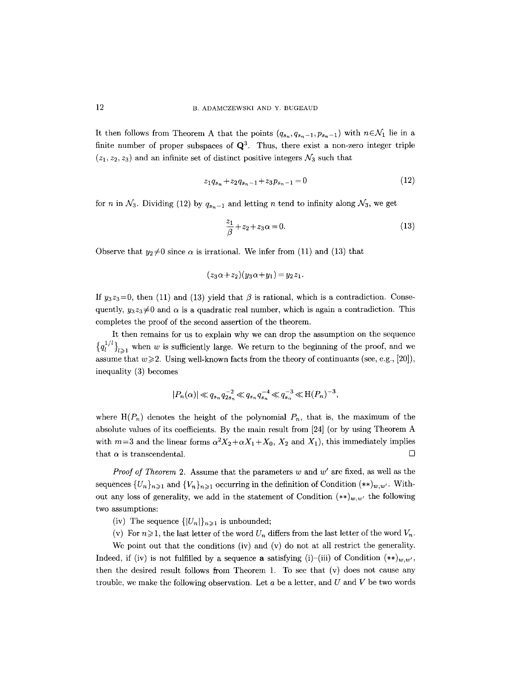It then follows from Theorem A that the points  $(q_{s_n},q_{s_{n-1}},p_{s_n-1})$  with  $n\in\mathcal{N}_1$  lie in a finite number of proper subspaces of  $\mathbf{Q}^3$ . Thus, there exist a non-zero integer triple  $(z_1, z_2, z_3)$  and an infinite set of distinct positive integers  $\mathcal{N}_3$  such that

$$
z_1 q_{s_n} + z_2 q_{s_n-1} + z_3 p_{s_n-1} = 0 \tag{12}
$$

for n in  $\mathcal{N}_3$ . Dividing (12) by  $q_{s_n-1}$  and letting n tend to infinity along  $\mathcal{N}_3$ , we get

$$
\frac{z_1}{\beta} + z_2 + z_3 \alpha = 0. \tag{13}
$$

Observe that  $y_2\neq 0$  since  $\alpha$  is irrational. We infer from (11) and (13) that

$$
(z_3\alpha + z_2)(y_3\alpha + y_1) = y_2z_1.
$$

If  $y_3z_3=0$ , then (11) and (13) yield that  $\beta$  is rational, which is a contradiction. Consequently,  $y_3z_3\neq0$  and  $\alpha$  is a quadratic real number, which is again a contradiction. This completes the proof of the second assertion of the theorem.

It then remains for us to explain why we can drop the assumption on the sequence  ${q_l^{1/l}}_{l>1}$  when w is sufficiently large. We return to the beginning of the proof, and we assume that  $w \ge 2$ . Using well-known facts from the theory of continuants (see, e.g., [20]), inequality (3) becomes

$$
|P_n(\alpha)| \ll q_{s_n}q_{2s_n}^{-2} \ll q_{s_n}q_{s_n}^{-4} \ll q_{s_n}^{-3} \ll \mathcal{H}(P_n)^{-3},
$$

where  $H(P_n)$  denotes the height of the polynomial  $P_n$ , that is, the maximum of the absolute values of its coefficients. By the main result from [24] (or by using Theorem A with  $m=3$  and the linear forms  $\alpha^2 X_2+\alpha X_1+X_0$ ,  $X_2$  and  $X_1$ ), this immediately implies that  $\alpha$  is transcendental.  $\Box$ 

*Proof of Theorem* 2. Assume that the parameters w and w' are fixed, as well as the sequences  $\{U_n\}_{n\geq 1}$  and  $\{V_n\}_{n\geq 1}$  occurring in the definition of Condition  $(**)_{w,w'}$ . Without any loss of generality, we add in the statement of Condition  $(**)_{w,w'}$  the following two assumptions:

- (iv) The sequence  $\{|U_n|\}_{n\geq 1}$  is unbounded;
- (v) For  $n\geqslant 1$ , the last letter of the word  $U_n$  differs from the last letter of the word  $V_n$ .

We point out that the conditions (iv) and (v) do not at all restrict the generality. Indeed, if (iv) is not fulfilled by a sequence **a** satisfying (i)-(iii) of Condition  $(**)_{w,w'}$ , then the desired result follows from Theorem 1. To see that (v) does not cause any trouble, we make the following observation. Let  $a$  be a letter, and  $U$  and  $V$  be two words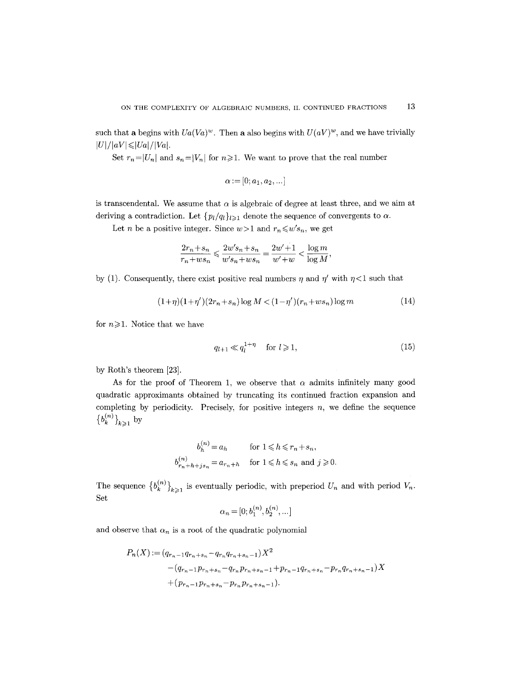such that a begins with  $U_a(V_a)^w$ . Then a also begins with  $U(aV)^w$ , and we have trivially  $|U|/|aV| \leq |Ua|/|Va|.$ 

Set  $r_n=|U_n|$  and  $s_n=|V_n|$  for  $n\geq 1$ . We want to prove that the real number

$$
\alpha:=[0;a_1,a_2,\ldots]
$$

is transcendental. We assume that  $\alpha$  is algebraic of degree at least three, and we aim at deriving a contradiction. Let  $\{p_l/q_l\}_{l\geq 1}$  denote the sequence of convergents to  $\alpha$ .

Let *n* be a positive integer. Since  $w>1$  and  $r_n \leq w's_n$ , we get

$$
\frac{2r_n+s_n}{r_n+ws_n} \leqslant \frac{2w's_n+s_n}{w's_n+ws_n} = \frac{2w'+1}{w'+w} < \frac{\log m}{\log M},
$$

by (1). Consequently, there exist positive real numbers  $\eta$  and  $\eta'$  with  $\eta$ <1 such that

$$
(1+\eta)(1+\eta')(2r_n+s_n)\log M < (1-\eta')(r_n+ws_n)\log m\tag{14}
$$

for  $n \geqslant 1$ . Notice that we have

$$
q_{l+1} \ll q_l^{1+\eta} \quad \text{for } l \geqslant 1,\tag{15}
$$

by Roth's theorem [23].

As for the proof of Theorem 1, we observe that  $\alpha$  admits infinitely many good quadratic approximants obtained by truncating its continued fraction expansion and completing by periodicity. Precisely, for positive integers  $n$ , we define the sequence  ${b_k^{(n)}\}_{k\geqslant 1}$  by

$$
b_h^{(n)} = a_h \quad \text{for } 1 \leq h \leq r_n + s_n,
$$
  

$$
b_{r_n+h+is_n}^{(n)} = a_{r_n+h} \quad \text{for } 1 \leq h \leq s_n \text{ and } j \geq 0.
$$

The sequence  ${b_k^{(n)}\}_{k\geq 1}$  is eventually periodic, with preperiod  $U_n$  and with period  $V_n$ . Set

$$
\alpha_n = [0; b_1^{(n)}, b_2^{(n)}, \dots]
$$

and observe that  $\alpha_n$  is a root of the quadratic polynomial

$$
P_n(X) := (q_{r_n-1}q_{r_n+s_n} - q_{r_n}q_{r_n+s_n-1})X^2
$$
  
-(q\_{r\_n-1}p\_{r\_n+s\_n} - q\_{r\_n}p\_{r\_n+s\_n-1} + p\_{r\_n-1}q\_{r\_n+s\_n} - p\_{r\_n}q\_{r\_n+s\_n-1})X  
+(p\_{r\_n-1}p\_{r\_n+s\_n} - p\_{r\_n}p\_{r\_n+s\_n-1}).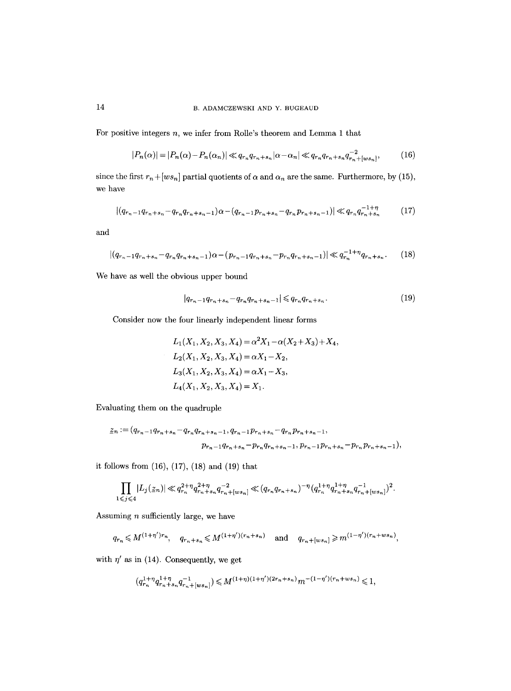# 14 B. ADAMCZEWSKI AND Y. BUGEAUD

For positive integers  $n$ , we infer from Rolle's theorem and Lemma 1 that

$$
|P_n(\alpha)| = |P_n(\alpha) - P_n(\alpha_n)| \ll q_{r_n} q_{r_n + s_n} |\alpha - \alpha_n| \ll q_{r_n} q_{r_n + s_n} q_{r_n + [ws_n]}^{-2},
$$
(16)

since the first  $r_n + [ws_n]$  partial quotients of  $\alpha$  and  $\alpha_n$  are the same. Furthermore, by (15), we have

$$
|(q_{r_n-1}q_{r_n+s_n}-q_{r_n}q_{r_n+s_n-1})\alpha-(q_{r_n-1}p_{r_n+s_n}-q_{r_n}p_{r_n+s_n-1})|\ll q_{r_n}q_{r_n+s_n}^{-1+\eta}
$$
 (17)

and

$$
|(q_{r_n-1}q_{r_n+s_n}-q_{r_n}q_{r_n+s_n-1})\alpha-(p_{r_n-1}q_{r_n+s_n}-p_{r_n}q_{r_n+s_n-1})|\ll q_{r_n}^{-1+\eta}q_{r_n+s_n}.\tag{18}
$$

We have as well the obvious upper bound

$$
|q_{r_n-1}q_{r_n+s_n}-q_{r_n}q_{r_n+s_n-1}| \leqslant q_{r_n}q_{r_n+s_n}.\tag{19}
$$

Consider now the four linearly independent linear forms

$$
L_1(X_1, X_2, X_3, X_4) = \alpha^2 X_1 - \alpha (X_2 + X_3) + X_4,
$$
  
\n
$$
L_2(X_1, X_2, X_3, X_4) = \alpha X_1 - X_2,
$$
  
\n
$$
L_3(X_1, X_2, X_3, X_4) = \alpha X_1 - X_3,
$$
  
\n
$$
L_4(X_1, X_2, X_3, X_4) = X_1.
$$

Evaluating them on the quadruple

$$
\underline{z}_n := (q_{r_n-1}q_{r_n+s_n} - q_{r_n}q_{r_n+s_n-1}, q_{r_n-1}p_{r_n+s_n} - q_{r_n}p_{r_n+s_n-1},
$$

$$
p_{r_n-1}q_{r_n+s_n} - p_{r_n}q_{r_n+s_n-1}, p_{r_n-1}p_{r_n+s_n} - p_{r_n}p_{r_n+s_n-1}),
$$

it follows from (16), (17), (18) and (19) that

$$
\prod_{1\leqslant j\leqslant 4}|L_j(\underline{z}_n)|\ll q_{r_n}^{2+\eta}q_{r_n+s_n}^{2+\eta}q_{r_n+[ws_n]}^{-2}\ll (q_{r_n}q_{r_n+s_n})^{-\eta}(q_{r_n}^{1+\eta}q_{r_n+s_n}^{1+\eta}q_{r_n+(ws_n)}^{-1})^2.
$$

Assuming  $n$  sufficiently large, we have

$$
q_{r_n} \leq M^{(1+\eta')r_n}
$$
,  $q_{r_n+s_n} \leq M^{(1+\eta')(r_n+s_n)}$  and  $q_{r_n+[ws_n]} \geq m^{(1-\eta')(r_n+ws_n)}$ ,

with  $\eta'$  as in (14). Consequently, we get

$$
(q_{r_n}^{1+\eta}q_{r_n+s_n}^{1+\eta}q_{r_n+\lfloor ws_n\rfloor}^{-1})\leqslant M^{(1+\eta)(1+\eta')(2r_n+s_n)}m^{-(1-\eta')(r_n+ws_n)}\leqslant 1,
$$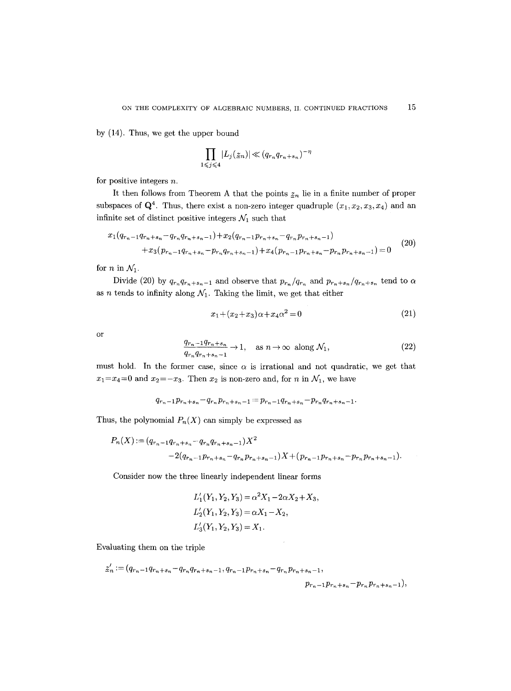by (14). Thus, we get the upper bound

$$
\prod_{1 \leq j \leq 4} |L_j(\underline{z}_n)| \ll (q_{r_n} q_{r_n + s_n})^{-\eta}
$$

for positive integers n.

It then follows from Theorem A that the points  $z_n$  lie in a finite number of proper subspaces of  $\mathbf{Q}^4$ . Thus, there exist a non-zero integer quadruple  $(x_1, x_2, x_3, x_4)$  and an infinite set of distinct positive integers  $\mathcal{N}_1$  such that

$$
x_1(q_{r_n-1}q_{r_n+s_n}-q_{r_n}q_{r_n+s_n-1})+x_2(q_{r_n-1}p_{r_n+s_n}-q_{r_n}p_{r_n+s_n-1})
$$
  
+
$$
x_3(p_{r_n-1}q_{r_n+s_n}-p_{r_n}q_{r_n+s_n-1})+x_4(p_{r_n-1}p_{r_n+s_n}-p_{r_n}p_{r_n+s_n-1})=0
$$
 (20)

for *n* in  $\mathcal{N}_1$ .

Divide (20) by  $q_{r_n}q_{r_n+s_n-1}$  and observe that  $p_{r_n}/q_{r_n}$  and  $p_{r_n+s_n}/q_{r_n+s_n}$  tend to  $\alpha$ as *n* tends to infinity along  $\mathcal{N}_1$ . Taking the limit, we get that either

$$
x_1 + (x_2 + x_3)\alpha + x_4\alpha^2 = 0 \tag{21}
$$

or

$$
\frac{q_{r_n-1}q_{r_n+s_n}}{q_{r_n}q_{r_n+s_n-1}} \to 1, \quad \text{as } n \to \infty \text{ along } \mathcal{N}_1,
$$
\n
$$
(22)
$$

must hold. In the former case, since  $\alpha$  is irrational and not quadratic, we get that  $x_1=x_4=0$  and  $x_2=-x_3$ . Then  $x_2$  is non-zero and, for n in  $\mathcal{N}_1$ , we have

$$
q_{r_n-1}p_{r_n+s_n}-q_{r_n}p_{r_n+s_n-1}=p_{r_n-1}q_{r_n+s_n}-p_{r_n}q_{r_n+s_n-1}.
$$

Thus, the polynomial  $P_n(X)$  can simply be expressed as

$$
P_n(X) := (q_{r_n-1}q_{r_n+s_n} - q_{r_n}q_{r_n+s_n-1})X^2
$$
  
-2(q\_{r\_n-1}p\_{r\_n+s\_n} - q\_{r\_n}p\_{r\_n+s\_n-1})X + (p\_{r\_n-1}p\_{r\_n+s\_n} - p\_{r\_n}p\_{r\_n+s\_n-1}).

Consider now the three linearly independent linear forms

$$
L'_1(Y_1, Y_2, Y_3) = \alpha^2 X_1 - 2\alpha X_2 + X_3,
$$
  
\n
$$
L'_2(Y_1, Y_2, Y_3) = \alpha X_1 - X_2,
$$
  
\n
$$
L'_3(Y_1, Y_2, Y_3) = X_1.
$$

Evaluating them on the triple

$$
\label{eq:z_n} \begin{split} \underline{z}'_n := (q_{r_n-1}q_{r_n+s_n}-q_{r_n}q_{r_n+s_n-1},q_{r_n-1}p_{r_n+s_n}-q_{r_n}p_{r_n+s_n-1},\\ &\qquad p_{r_n-1}p_{r_n+s_n}-p_{r_n}p_{r_n+s_n-1}), \end{split}
$$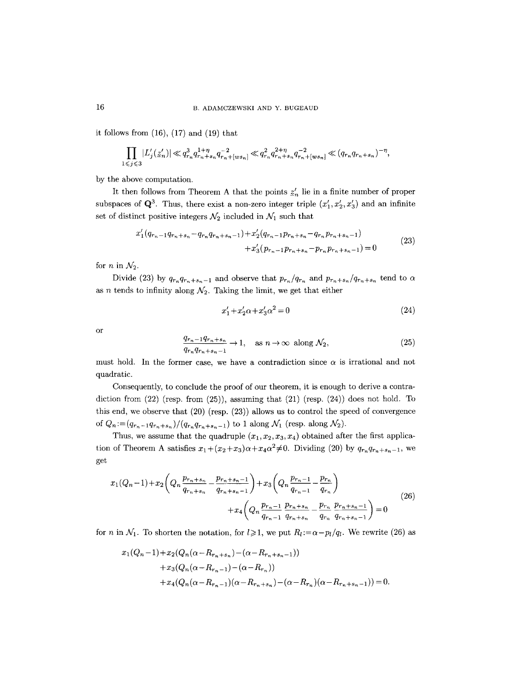it follows from  $(16)$ ,  $(17)$  and  $(19)$  that

$$
\prod_{1 \leq j \leq 3} |L'_j(z'_n)| \ll q_{r_n}^3 q_{r_n+s_n}^{1+\eta} q_{r_n+[ws_n]}^{-2} \ll q_{r_n}^2 q_{r_n+s_n}^{2+\eta} q_{r_n+[ws_n]}^{-2} \ll (q_{r_n}q_{r_n+s_n})^{-\eta},
$$

by the above computation.

It then follows from Theorem A that the points  $z'_n$  lie in a finite number of proper subspaces of  $\mathbf{Q}^3$ . Thus, there exist a non-zero integer triple  $(x'_1, x'_2, x'_3)$  and an infinite set of distinct positive integers  $\mathcal{N}_2$  included in  $\mathcal{N}_1$  such that

$$
x_1'(q_{r_n-1}q_{r_n+s_n}-q_{r_n}q_{r_n+s_n-1})+x_2'(q_{r_n-1}p_{r_n+s_n}-q_{r_n}p_{r_n+s_n-1})
$$
  
+
$$
x_3'(p_{r_n-1}p_{r_n+s_n}-p_{r_n}p_{r_n+s_n-1})=0
$$
 (23)

for *n* in  $\mathcal{N}_2$ .

Divide (23) by  $q_{r_n}q_{r_n+s_n-1}$  and observe that  $p_{r_n}/q_{r_n}$  and  $p_{r_n+s_n}/q_{r_n+s_n}$  tend to  $\alpha$ as n tends to infinity along  $\mathcal{N}_2$ . Taking the limit, we get that either

$$
x_1' + x_2' \alpha + x_3' \alpha^2 = 0 \tag{24}
$$

or

$$
\frac{q_{r_n-1}q_{r_n+s_n}}{q_{r_n}q_{r_n+s_n-1}} \to 1, \quad \text{as } n \to \infty \text{ along } \mathcal{N}_2,
$$
\n
$$
(25)
$$

must hold. In the former case, we have a contradiction since  $\alpha$  is irrational and not quadratic.

Consequently, to conclude the proof of our theorem, it is enough to derive a contradiction from  $(22)$  (resp. from  $(25)$ ), assuming that  $(21)$  (resp.  $(24)$ ) does not hold. To this end, we observe that (20) (resp. (23)) allows us to control the speed of convergence of  $Q_n := (q_{r_n-1}q_{r_n+s_n})/(q_{r_n}q_{r_n+s_n-1})$  to 1 along  $\mathcal{N}_1$  (resp. along  $\mathcal{N}_2$ ).

Thus, we assume that the quadruple  $(x_1, x_2, x_3, x_4)$  obtained after the first application of Theorem A satisfies  $x_1 + (x_2+x_3)\alpha + x_4\alpha^2 \neq 0$ . Dividing (20) by  $q_{r_n}q_{r_n+s_n-1}$ , we get

$$
x_{1}(Q_{n}-1)+x_{2}\left(Q_{n}\frac{p_{r_{n}+s_{n}}}{q_{r_{n}+s_{n}}}-\frac{p_{r_{n}+s_{n}-1}}{q_{r_{n}+s_{n}-1}}\right)+x_{3}\left(Q_{n}\frac{p_{r_{n}-1}}{q_{r_{n}-1}}-\frac{p_{r_{n}}}{q_{r_{n}}}\right) +x_{4}\left(Q_{n}\frac{p_{r_{n}-1}}{q_{r_{n}+s_{n}}}-\frac{p_{r_{n}}}{q_{r_{n}}}\frac{p_{r_{n}+s_{n}-1}}{q_{r_{n}+s_{n}-1}}\right)=0
$$
\n(26)

for *n* in  $\mathcal{N}_1$ . To shorten the notation, for  $l \geq 1$ , we put  $R_l := \alpha - p_l/q_l$ . We rewrite (26) as

$$
x_1(Q_n-1) + x_2(Q_n(\alpha - R_{r_n+s_n}) - (\alpha - R_{r_n+s_n-1}))
$$
  
+ 
$$
x_3(Q_n(\alpha - R_{r_n-1}) - (\alpha - R_{r_n}))
$$
  
+ 
$$
x_4(Q_n(\alpha - R_{r_n-1})(\alpha - R_{r_n+s_n}) - (\alpha - R_{r_n})(\alpha - R_{r_n+s_n-1})) = 0.
$$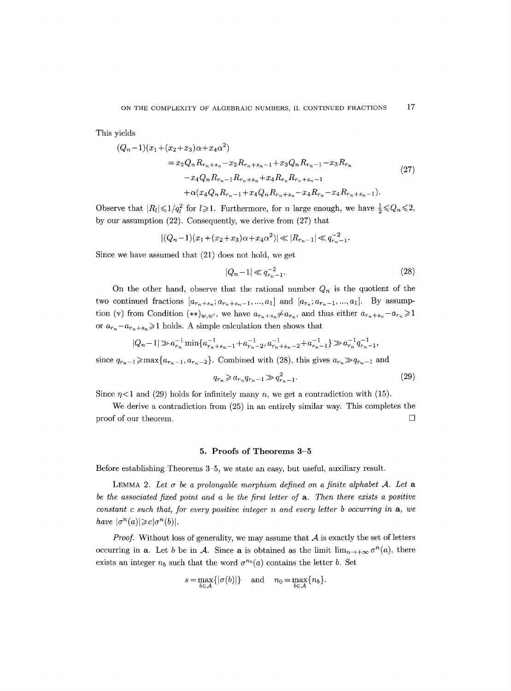This yields

$$
(Q_n - 1)(x_1 + (x_2 + x_3)\alpha + x_4\alpha^2)
$$
  
=  $x_2 Q_n R_{r_n + s_n} - x_2 R_{r_n + s_n - 1} + x_3 Q_n R_{r_n - 1} - x_3 R_{r_n}$   
 $- x_4 Q_n R_{r_n - 1} R_{r_n + s_n} + x_4 R_{r_n} R_{r_n + s_n - 1}$   
+  $\alpha (x_4 Q_n R_{r_n - 1} + x_4 Q_n R_{r_n + s_n} - x_4 R_{r_n} - x_4 R_{r_n + s_n - 1}).$  (27)

Observe that  $|R_l| \leq 1/q_l^2$  for  $l \geq 1$ . Furthermore, for n large enough, we have  $\frac{1}{2} \leq Q_n \leq 2$ , by our assumption (22). Consequently, we derive from (27) that

$$
|(Q_n-1)(x_1+(x_2+x_3)\alpha+x_4\alpha^2)| \ll |R_{r_n-1}| \ll q_{r_n-1}^{-2}.
$$

Since we have assumed that (21) does not hold, we get

$$
|Q_n - 1| \ll q_{r_n - 1}^{-2}.
$$
\n(28)

On the other hand, observe that the rational number  $Q_n$  is the quotient of the two continued fractions  $[a_{r_n+s_n};a_{r_n+s_n-1},...,a_1]$  and  $[a_{r_n};a_{r_n-1},...,a_1]$ . By assumption (v) from Condition  $(**)_{w,w'}$ , we have  $a_{r_n+s_n} \neq a_{r_n}$ , and thus either  $a_{r_n+s_n} - a_{r_n} \geq 1$ or  $a_{r_n}-a_{r_n+s_n}\geq 1$  holds. A simple calculation then shows that

$$
|Q_n-1|\gg a_{r_n}^{-1}\min\{a_{r_n+s_n-1}^{-1}+a_{r_n-2}^{-1},a_{r_n+s_n-2}^{-1}+a_{r_n-1}^{-1}\}\gg a_{r_n}^{-1}q_{r_n-1}^{-1},
$$

since  $q_{r_n-1} \ge \max\{a_{r_n-1}, a_{r_n-2}\}.$  Combined with (28), this gives  $a_{r_n} \ge q_{r_n-1}$  and

$$
q_{r_n} \geqslant a_{r_n} q_{r_n-1} \geqslant q_{r_n-1}^2. \tag{29}
$$

Since  $\eta$ <1 and (29) holds for infinitely many n, we get a contradiction with (15).

We derive a contradiction from (25) in an entirely similar way. This completes the proof of our theorem.  $\Box$ 

### **5. Proofs of Theorems 3-5**

Before establishing Theorems 3-5, we state an easy, but useful, auxiliary result.

LEMMA 2. Let  $\sigma$  be a prolongable morphism defined on a finite alphabet  $A$ . Let a *be the associated fixed point and a be the first letter of a. Then there exists a positive constant c such that, for every positive integer n and every letter b occurring in a, we have*  $|\sigma^n(a)| \geq c |\sigma^n(b)|$ .

*Proof.* Without loss of generality, we may assume that  $A$  is exactly the set of letters occurring in a. Let b be in A. Since a is obtained as the limit  $\lim_{n\to+\infty} \sigma^n(a)$ , there exists an integer  $n_b$  such that the word  $\sigma^{n_b}(a)$  contains the letter b. Set

$$
s = \max_{b \in A} \{ |\sigma(b)| \} \quad \text{and} \quad n_0 = \max_{b \in A} \{ n_b \}.
$$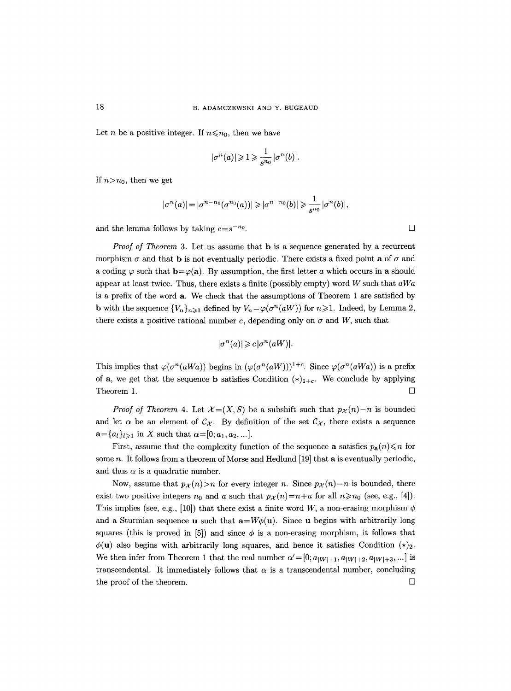Let *n* be a positive integer. If  $n \le n_0$ , then we have

$$
|\sigma^n(a)|\geqslant 1\geqslant \frac{1}{s^{n_0}}|\sigma^n(b)|.
$$

If  $n > n_0$ , then we get

$$
|\sigma^n(a)| = |\sigma^{n-n_0}(\sigma^{n_0}(a))| \geqslant |\sigma^{n-n_0}(b)| \geqslant \frac{1}{s^{n_0}} |\sigma^n(b)|,
$$

and the lemma follows by taking  $c=s^{-n_0}$ .

*Proof of Theorem 3.* Let us assume that **b** is a sequence generated by a recurrent morphism  $\sigma$  and that **b** is not eventually periodic. There exists a fixed point **a** of  $\sigma$  and a coding  $\varphi$  such that  $\mathbf{b}=\varphi(\mathbf{a})$ . By assumption, the first letter a which occurs in a should appear at least twice. Thus, there exists a finite (possibly empty) word W such that *aWa*  is a prefix of the word a. We check that the assumptions of Theorem 1 are satisfied by **b** with the sequence  $\{V_n\}_{n\geq 1}$  defined by  $V_n = \varphi(\sigma^n(aW))$  for  $n \geq 1$ . Indeed, by Lemma 2, there exists a positive rational number c, depending only on  $\sigma$  and W, such that

$$
|\sigma^n(a)| \geqslant c |\sigma^n(aW)|.
$$

This implies that  $\varphi(\sigma^n(aWa))$  begins in  $(\varphi(\sigma^n(aW)))^{1+c}$ . Since  $\varphi(\sigma^n(aWa))$  is a prefix of **a**, we get that the sequence **b** satisfies Condition  $(*)_{1+c}$ . We conclude by applying Theorem 1.  $\Box$ 

*Proof of Theorem 4.* Let  $\mathcal{X} = (X, S)$  be a subshift such that  $p_{\mathcal{X}}(n) - n$  is bounded and let  $\alpha$  be an element of  $\mathcal{C}_{\chi}$ . By definition of the set  $\mathcal{C}_{\chi}$ , there exists a sequence  $a = \{a_l\}_{l \geq 1}$  in X such that  $\alpha = [0; a_1, a_2, \dots].$ 

First, assume that the complexity function of the sequence **a** satisfies  $p_a(n) \leq n$  for some  $n$ . It follows from a theorem of Morse and Hedlund [19] that a is eventually periodic, and thus  $\alpha$  is a quadratic number.

Now, assume that  $p_{\mathcal{X}}(n) > n$  for every integer n. Since  $p_{\mathcal{X}}(n) - n$  is bounded, there exist two positive integers  $n_0$  and a such that  $p_{\mathcal{X}}(n)=n+a$  for all  $n \ge n_0$  (see, e.g., [4]). This implies (see, e.g., [10]) that there exist a finite word W, a non-erasing morphism  $\phi$ and a Sturmian sequence **u** such that  $\mathbf{a} = W\phi(\mathbf{u})$ . Since **u** begins with arbitrarily long squares (this is proved in [5]) and since  $\phi$  is a non-erasing morphism, it follows that  $\phi(\mathbf{u})$  also begins with arbitrarily long squares, and hence it satisfies Condition  $(*)_2$ . We then infer from Theorem 1 that the real number  $\alpha'=[0;a_{|W|+1},a_{|W|+2},a_{|W|+3},...]$  is transcendental. It immediately follows that  $\alpha$  is a transcendental number, concluding the proof of the theorem.  $\Box$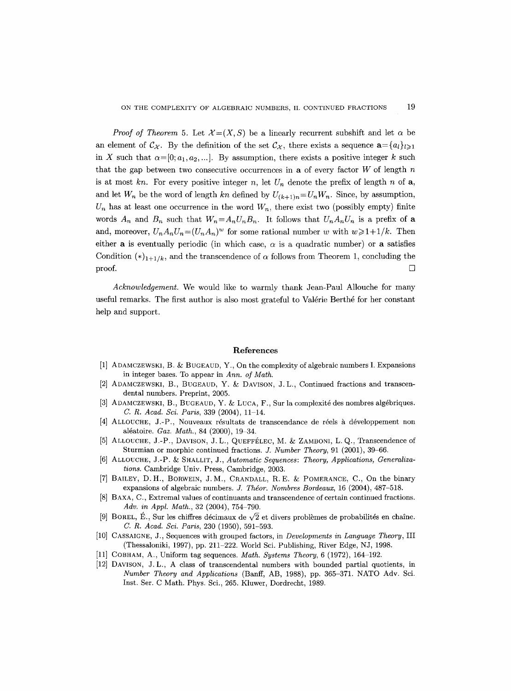*Proof of Theorem 5.* Let  $\mathcal{X}=(X, S)$  be a linearly recurrent subshift and let  $\alpha$  be an element of  $\mathcal{C}_{\chi}$ . By the definition of the set  $\mathcal{C}_{\chi}$ , there exists a sequence  $\mathbf{a} = \{a_l\}_{l \geq 1}$ in X such that  $\alpha=[0;a_1,a_2,...]$ . By assumption, there exists a positive integer k such that the gap between two consecutive occurrences in a of every factor  $W$  of length  $n$ is at most  $kn$ . For every positive integer n, let  $U_n$  denote the prefix of length n of a, and let  $W_n$  be the word of length kn defined by  $U_{(k+1)n} = U_n W_n$ . Since, by assumption,  $U_n$  has at least one occurrence in the word  $W_n$ , there exist two (possibly empty) finite words  $A_n$  and  $B_n$  such that  $W_n = A_n U_n B_n$ . It follows that  $U_n A_n U_n$  is a prefix of a and, moreover,  $U_n A_n U_n = (U_n A_n)^w$  for some rational number w with  $w \geq 1+1/k$ . Then either **a** is eventually periodic (in which case,  $\alpha$  is a quadratic number) or **a** satisfies Condition  $(*)_{1+1/k}$ , and the transcendence of  $\alpha$  follows from Theorem 1, concluding the  $\Box$ 

*Acknowledgement.* We would like to warmly thank Jean-Paul Allouche for many useful remarks. The first author is also most grateful to Valérie Berthé for her constant help and support.

## **References**

- [1] ADAMCZEWSKI, B. & BUGEAUD, Y., On the complexity of algebraic numbers I. Expansions in integer bases. To appear in *Ann. of Math.*
- [2] ADAMCZEWSKI, B., BUGEAUD, Y. & DAVISON, J.L., Continued fractions and transcendental numbers. Preprint, 2005.
- [3] ADAMCZEWSKI, B., BUGEAUD, Y. & LUCA, F., Sur la complexité des nombres algébriques. *C. R. Acad. Sci. Paris, 339 (2004), 11-14.*
- [4] ALLOUCHE, J.-P., Nouveaux résultats de transcendance de réels à développement non aléatoire. *Gaz. Math.*, 84 (2000), 19-34.
- [5] ALLOUCHE, J.-P., DAVISON, J. L., QUEFFÉLEC, M. & ZAMBONI, L. Q., Transcendence of Sturmian or morphic continued fractions. *J. Number Theory,* 91 (2001), 39-66.
- [6] ALLOUCHE, J.-P. & SHALLIT, J., *Automatic Sequences: Theory, Applications, Generalizations.* Cambridge Univ. Press, Cambridge, 2003.
- [7] BAILEY, D.H., BORWEIN, J.M., CRANDALL, R.E. & POMERANCE, C., On the binary expansions of algebraic numbers, *d. Thdor. Nombres Bordeaux,* 16 (2004), 487-518.
- [8] BAXA, C., Extremal values of continuants and transcendence of certain continued fractions. *Adv. in Appl. Math.,* 32 (2004), 754-790.
- [9] BOREL, É., Sur les chiffres décimaux de  $\sqrt{2}$  et divers problèmes de probabilités en chaîne. *C. R. Acad. Sci. Paris,* 230 (1950), 591-593.
- [10] CASSAIGNE, J., Sequences with grouped factors, in *Developments in Language Theory,* III (Thessaloniki, 1997), pp. 211–222. World Sci. Publishing, River Edge, NJ, 1998.
- [11] COBHAM, A., Uniform tag sequences. *Math. Systems Theory,* 6 (1972), 164-192.
- [12] DAVISON, J.L., A class of transcendental numbers with bounded partial quotients, in *Number Theory and Applications* (Banff, AB, 1988), pp. 365-371. NATO Adv. Sci. Inst. Ser. C Math. Phys. Sci., 265. Kluwer, Dordrecht, 1989.